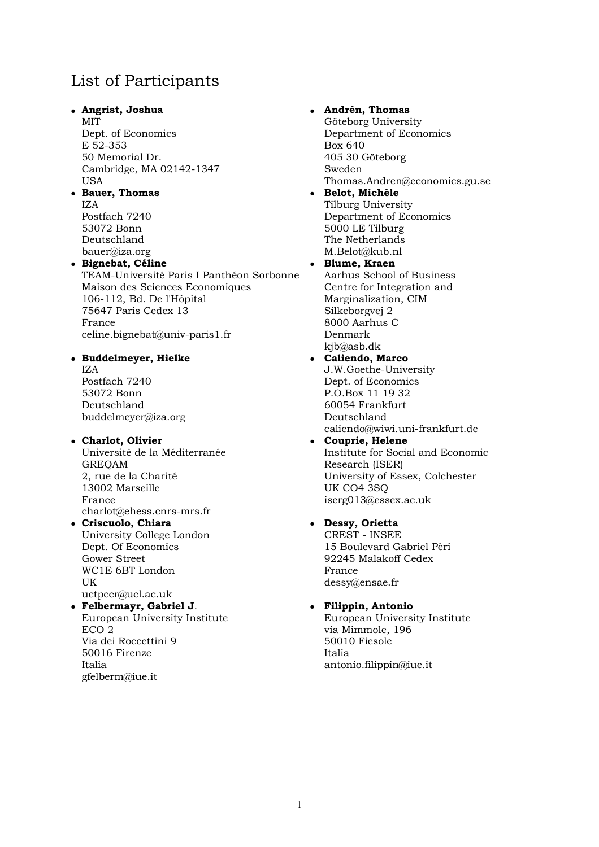# List of Participants

### - **Angrist, Joshua**

MIT Dept. of Economics E 52-353 50 Memorial Dr. Cambridge, MA 02142-1347 USA

#### - **Bauer, Thomas**  IZA

Postfach 7240 53072 Bonn Deutschland bauer@iza.org

#### - **Bignebat, Céline**

TEAM-Université Paris I Panthéon Sorbonne Maison des Sciences Economiques 106-112, Bd. De l'Hôpital 75647 Paris Cedex 13 France celine.bignebat@univ-paris1.fr

#### - **Buddelmeyer, Hielke**

IZA Postfach 7240 53072 Bonn Deutschland buddelmeyer@iza.org

### - **Charlot, Olivier**

Universitè de la Méditerranée GREQAM 2, rue de la Charité 13002 Marseille France charlot@ehess.cnrs-mrs.fr

- **Criscuolo, Chiara**  University College London Dept. Of Economics Gower Street WC1E 6BT London **IIK** uctpccr@ucl.ac.uk

#### - **Felbermayr, Gabriel J**. European University Institute ECO 2 Via dei Roccettini 9 50016 Firenze

Italia gfelberm@iue.it

#### **Andrén, Thomas**

Göteborg University Department of Economics Box 640 405 30 Göteborg Sweden Thomas.Andren@economics.gu.se

 **Belot, Michèle**  Tilburg University Department of Economics 5000 LE Tilburg The Netherlands M.Belot@kub.nl

## **Blume, Kraen**

Aarhus School of Business Centre for Integration and Marginalization, CIM Silkeborgvej 2 8000 Aarhus C Denmark kjb@asb.dk

#### **Caliendo, Marco**  J.W.Goethe-University Dept. of Economics P.O.Box 11 19 32 60054 Frankfurt Deutschland

caliendo@wiwi.uni-frankfurt.de

 **Couprie, Helene**  Institute for Social and Economic Research (ISER) University of Essex, Colchester UK CO4 3SQ iserg013@essex.ac.uk

#### **Dessy, Orietta**

CREST - INSEE 15 Boulevard Gabriel Pèri 92245 Malakoff Cedex France dessy@ensae.fr

## **Filippin, Antonio**

European University Institute via Mimmole, 196 50010 Fiesole Italia antonio.filippin@iue.it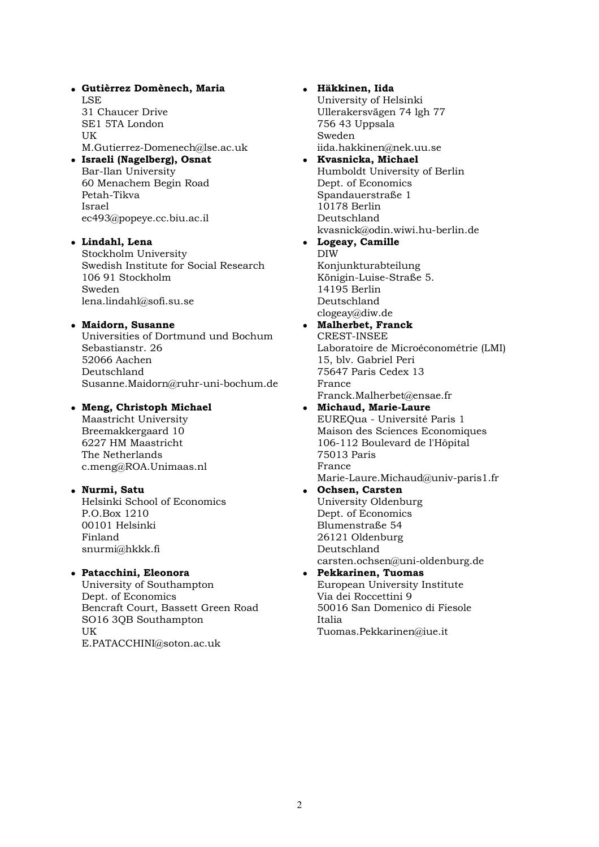- **Gutièrrez Domènech, Maria**  LSE 31 Chaucer Drive SE1 5TA London UK M.Gutierrez-Domenech@lse.ac.uk - **Israeli (Nagelberg), Osnat**  Bar-Ilan University 60 Menachem Begin Road Petah-Tikva Israel ec493@popeye.cc.biu.ac.il

## - **Lindahl, Lena**

Stockholm University Swedish Institute for Social Research 106 91 Stockholm Sweden lena.lindahl@sofi.su.se

## - **Maidorn, Susanne**

Universities of Dortmund und Bochum Sebastianstr. 26 52066 Aachen Deutschland Susanne.Maidorn@ruhr-uni-bochum.de

## - **Meng, Christoph Michael**

Maastricht University Breemakkergaard 10 6227 HM Maastricht The Netherlands c.meng@ROA.Unimaas.nl

## - **Nurmi, Satu**

Helsinki School of Economics P.O.Box 1210 00101 Helsinki Finland snurmi@hkkk.fi

### - **Patacchini, Eleonora**

University of Southampton Dept. of Economics Bencraft Court, Bassett Green Road SO16 3QB Southampton **IIK** E.PATACCHINI@soton.ac.uk

## **Häkkinen, Iida**

University of Helsinki Ullerakersvägen 74 lgh 77 756 43 Uppsala Sweden iida.hakkinen@nek.uu.se

- **Kvasnicka, Michael**  Humboldt University of Berlin Dept. of Economics Spandauerstraße 1 10178 Berlin Deutschland kvasnick@odin.wiwi.hu-berlin.de
- **Logeay, Camille**  DIW Konjunkturabteilung Königin-Luise-Straße 5. 14195 Berlin Deutschland clogeay@diw.de

## **Malherbet, Franck**  CREST-INSEE

Laboratoire de Microéconométrie (LMI) 15, blv. Gabriel Peri 75647 Paris Cedex 13 France Franck.Malherbet@ensae.fr

- **Michaud, Marie-Laure**  EUREQua - Université Paris 1 Maison des Sciences Economiques 106-112 Boulevard de l'Hôpital 75013 Paris France Marie-Laure.Michaud@univ-paris1.fr
- **Ochsen, Carsten**  University Oldenburg Dept. of Economics Blumenstraße 54 26121 Oldenburg Deutschland carsten.ochsen@uni-oldenburg.de
- **Pekkarinen, Tuomas**  European University Institute Via dei Roccettini 9 50016 San Domenico di Fiesole Italia Tuomas.Pekkarinen@iue.it